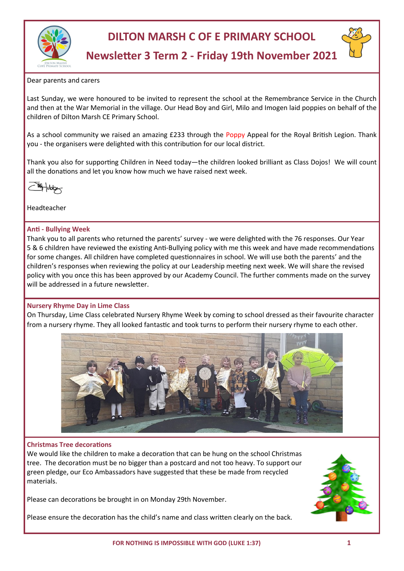



# **Newsletter 3 Term 2 - Friday 19th November 2021**

Dear parents and carers

Last Sunday, we were honoured to be invited to represent the school at the Remembrance Service in the Church and then at the War Memorial in the village. Our Head Boy and Girl, Milo and Imogen laid poppies on behalf of the children of Dilton Marsh CE Primary School.

As a school community we raised an amazing £233 through the Poppy Appeal for the Royal British Legion. Thank you - the organisers were delighted with this contribution for our local district.

Thank you also for supporting Children in Need today—the children looked brilliant as Class Dojos! We will count all the donations and let you know how much we have raised next week.

Headteacher

## **Anti - Bullying Week**

Thank you to all parents who returned the parents' survey - we were delighted with the 76 responses. Our Year 5 & 6 children have reviewed the existing Anti-Bullying policy with me this week and have made recommendations for some changes. All children have completed questionnaires in school. We will use both the parents' and the children's responses when reviewing the policy at our Leadership meeting next week. We will share the revised policy with you once this has been approved by our Academy Council. The further comments made on the survey will be addressed in a future newsletter.

# **Nursery Rhyme Day in Lime Class**

On Thursday, Lime Class celebrated Nursery Rhyme Week by coming to school dressed as their favourite character from a nursery rhyme. They all looked fantastic and took turns to perform their nursery rhyme to each other.



#### **Christmas Tree decorations**

We would like the children to make a decoration that can be hung on the school Christmas tree. The decoration must be no bigger than a postcard and not too heavy. To support our green pledge, our Eco Ambassadors have suggested that these be made from recycled materials.

Please can decorations be brought in on Monday 29th November.

Please ensure the decoration has the child's name and class written clearly on the back.

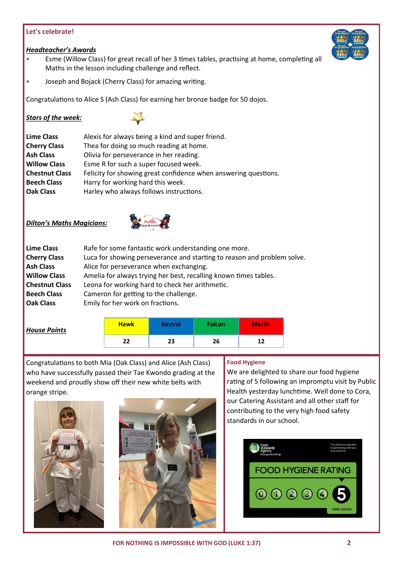# **Let's celebrate!**

# *Headteacher's Awards*

- Esme (Willow Class) for great recall of her 3 times tables, practising at home, completing all Maths in the lesson including challenge and reflect.
- Joseph and Bojack (Cherry Class) for amazing writing.

Congratulations to Alice S (Ash Class) for earning her bronze badge for 50 dojos.

## *Stars of the week:*



| <b>Lime Class</b>     | Alexis for always being a kind and super friend.                |  |  |  |  |
|-----------------------|-----------------------------------------------------------------|--|--|--|--|
| <b>Cherry Class</b>   | Thea for doing so much reading at home.                         |  |  |  |  |
| <b>Ash Class</b>      | Olivia for perseverance in her reading.                         |  |  |  |  |
| <b>Willow Class</b>   | Esme R for such a super focused week.                           |  |  |  |  |
| <b>Chestnut Class</b> | Felicity for showing great confidence when answering questions. |  |  |  |  |
| <b>Beech Class</b>    | Harry for working hard this week.                               |  |  |  |  |
| <b>Oak Class</b>      | Harley who always follows instructions.                         |  |  |  |  |

# *Dilton's Maths Magicians:*



| <b>Lime Class</b>     | Rafe for some fantastic work understanding one more.                    |
|-----------------------|-------------------------------------------------------------------------|
| <b>Cherry Class</b>   | Luca for showing perseverance and starting to reason and problem solve. |
| <b>Ash Class</b>      | Alice for perseverance when exchanging.                                 |
| <b>Willow Class</b>   | Amelia for always trying her best, recalling known times tables.        |
| <b>Chestnut Class</b> | Leona for working hard to check her arithmetic.                         |
| <b>Beech Class</b>    | Cameron for getting to the challenge.                                   |
| <b>Oak Class</b>      | Emily for her work on fractions.                                        |
|                       |                                                                         |

| <b>House Points</b> | <b>Hawk</b> | <b>Kestrel</b> | <b>Falcon</b> | <b>Merlin</b> |
|---------------------|-------------|----------------|---------------|---------------|
|                     | 22          | 23             | 26            | 12            |

Congratulations to both Mia (Oak Class) and Alice (Ash Class) who have successfully passed their Tae Kwondo grading at the weekend and proudly show off their new white belts with orange stripe.





#### **Food Hygiene**

We are delighted to share our food hygiene rating of 5 following an impromptu visit by Public Health yesterday lunchtime. Well done to Cora, our Catering Assistant and all other staff for contributing to the very high food safety standards in our school.